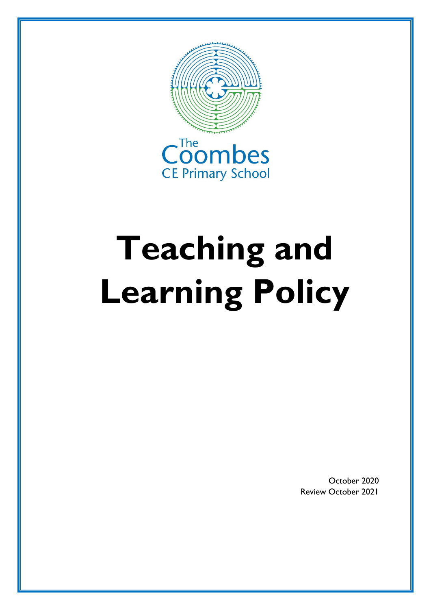

# **Teaching and Learning Policy**

October 2020 Review October 2021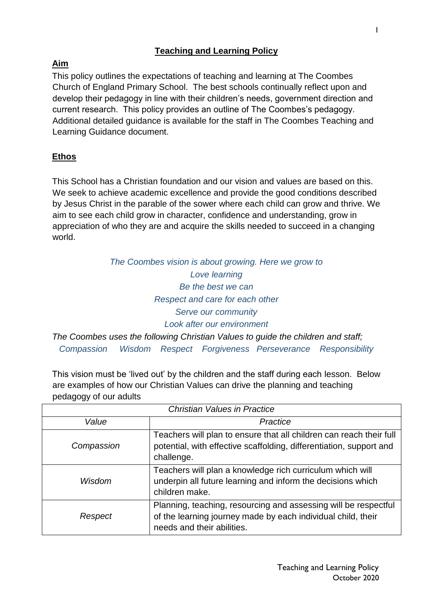#### **Teaching and Learning Policy**

## **Aim**

This policy outlines the expectations of teaching and learning at The Coombes Church of England Primary School. The best schools continually reflect upon and develop their pedagogy in line with their children's needs, government direction and current research. This policy provides an outline of The Coombes's pedagogy. Additional detailed guidance is available for the staff in The Coombes Teaching and Learning Guidance document.

# **Ethos**

This School has a Christian foundation and our vision and values are based on this. We seek to achieve academic excellence and provide the good conditions described by Jesus Christ in the parable of the sower where each child can grow and thrive. We aim to see each child grow in character, confidence and understanding, grow in appreciation of who they are and acquire the skills needed to succeed in a changing world.

# *The Coombes vision is about growing. Here we grow to Love learning Be the best we can Respect and care for each other Serve our community Look after our environment*

*The Coombes uses the following Christian Values to guide the children and staff; Compassion Wisdom Respect Forgiveness Perseverance Responsibility*

This vision must be 'lived out' by the children and the staff during each lesson. Below are examples of how our Christian Values can drive the planning and teaching pedagogy of our adults

| <b>Christian Values in Practice</b> |                                                                                                                                                               |
|-------------------------------------|---------------------------------------------------------------------------------------------------------------------------------------------------------------|
| Value                               | Practice                                                                                                                                                      |
| Compassion                          | Teachers will plan to ensure that all children can reach their full<br>potential, with effective scaffolding, differentiation, support and<br>challenge.      |
| Wisdom                              | Teachers will plan a knowledge rich curriculum which will<br>underpin all future learning and inform the decisions which<br>children make.                    |
| Respect                             | Planning, teaching, resourcing and assessing will be respectful<br>of the learning journey made by each individual child, their<br>needs and their abilities. |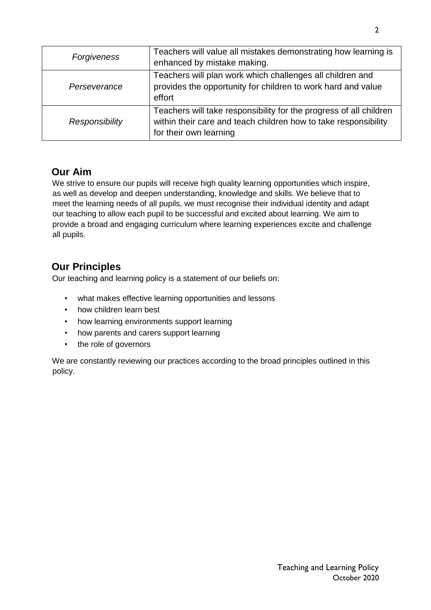| Forgiveness    | Teachers will value all mistakes demonstrating how learning is<br>enhanced by mistake making.                                                                   |
|----------------|-----------------------------------------------------------------------------------------------------------------------------------------------------------------|
| Perseverance   | Teachers will plan work which challenges all children and<br>provides the opportunity for children to work hard and value<br>effort                             |
| Responsibility | Teachers will take responsibility for the progress of all children<br>within their care and teach children how to take responsibility<br>for their own learning |

## **Our Aim**

We strive to ensure our pupils will receive high quality learning opportunities which inspire, as well as develop and deepen understanding, knowledge and skills. We believe that to meet the learning needs of all pupils, we must recognise their individual identity and adapt our teaching to allow each pupil to be successful and excited about learning. We aim to provide a broad and engaging curriculum where learning experiences excite and challenge all pupils.

# **Our Principles**

Our teaching and learning policy is a statement of our beliefs on:

- what makes effective learning opportunities and lessons
- how children learn best
- how learning environments support learning
- how parents and carers support learning
- the role of governors

We are constantly reviewing our practices according to the broad principles outlined in this policy.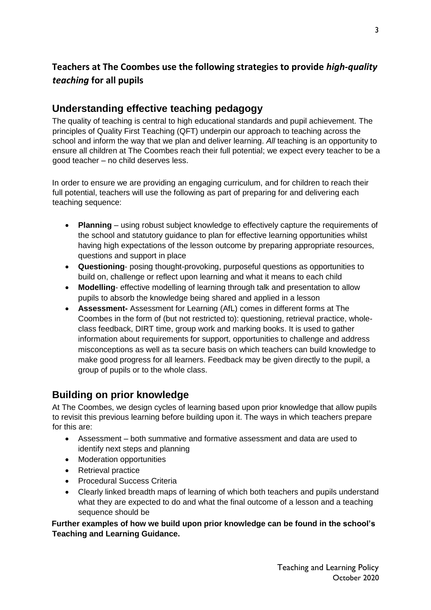# **Teachers at The Coombes use the following strategies to provide** *high-quality teaching* **for all pupils**

#### **Understanding effective teaching pedagogy**

The quality of teaching is central to high educational standards and pupil achievement. The principles of Quality First Teaching (QFT) underpin our approach to teaching across the school and inform the way that we plan and deliver learning. *All* teaching is an opportunity to ensure all children at The Coombes reach their full potential; we expect every teacher to be a good teacher – no child deserves less.

In order to ensure we are providing an engaging curriculum, and for children to reach their full potential, teachers will use the following as part of preparing for and delivering each teaching sequence:

- **Planning**  using robust subject knowledge to effectively capture the requirements of the school and statutory guidance to plan for effective learning opportunities whilst having high expectations of the lesson outcome by preparing appropriate resources, questions and support in place
- **Questioning** posing thought-provoking, purposeful questions as opportunities to build on, challenge or reflect upon learning and what it means to each child
- **Modelling** effective modelling of learning through talk and presentation to allow pupils to absorb the knowledge being shared and applied in a lesson
- **Assessment-** Assessment for Learning (AfL) comes in different forms at The Coombes in the form of (but not restricted to): questioning, retrieval practice, wholeclass feedback, DIRT time, group work and marking books. It is used to gather information about requirements for support, opportunities to challenge and address misconceptions as well as ta secure basis on which teachers can build knowledge to make good progress for all learners. Feedback may be given directly to the pupil, a group of pupils or to the whole class.

## **Building on prior knowledge**

At The Coombes, we design cycles of learning based upon prior knowledge that allow pupils to revisit this previous learning before building upon it. The ways in which teachers prepare for this are:

- Assessment both summative and formative assessment and data are used to identify next steps and planning
- Moderation opportunities
- Retrieval practice
- Procedural Success Criteria
- Clearly linked breadth maps of learning of which both teachers and pupils understand what they are expected to do and what the final outcome of a lesson and a teaching sequence should be

**Further examples of how we build upon prior knowledge can be found in the school's Teaching and Learning Guidance.**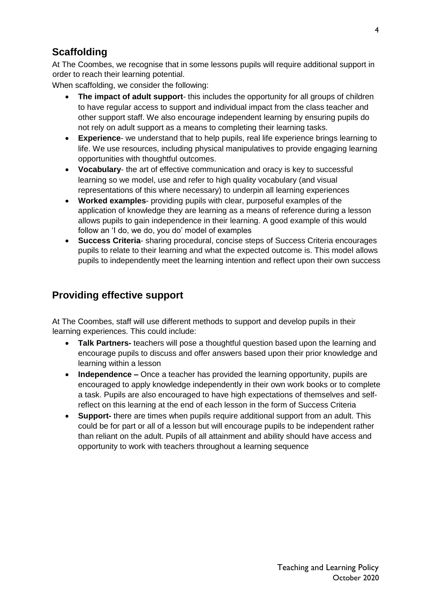# **Scaffolding**

At The Coombes, we recognise that in some lessons pupils will require additional support in order to reach their learning potential.

When scaffolding, we consider the following:

- **The impact of adult support** this includes the opportunity for all groups of children to have regular access to support and individual impact from the class teacher and other support staff. We also encourage independent learning by ensuring pupils do not rely on adult support as a means to completing their learning tasks.
- **Experience** we understand that to help pupils, real life experience brings learning to life. We use resources, including physical manipulatives to provide engaging learning opportunities with thoughtful outcomes.
- **Vocabulary** the art of effective communication and oracy is key to successful learning so we model, use and refer to high quality vocabulary (and visual representations of this where necessary) to underpin all learning experiences
- **Worked examples** providing pupils with clear, purposeful examples of the application of knowledge they are learning as a means of reference during a lesson allows pupils to gain independence in their learning. A good example of this would follow an 'I do, we do, you do' model of examples
- **Success Criteria** sharing procedural, concise steps of Success Criteria encourages pupils to relate to their learning and what the expected outcome is. This model allows pupils to independently meet the learning intention and reflect upon their own success

# **Providing effective support**

At The Coombes, staff will use different methods to support and develop pupils in their learning experiences. This could include:

- **Talk Partners-** teachers will pose a thoughtful question based upon the learning and encourage pupils to discuss and offer answers based upon their prior knowledge and learning within a lesson
- **Independence –** Once a teacher has provided the learning opportunity, pupils are encouraged to apply knowledge independently in their own work books or to complete a task. Pupils are also encouraged to have high expectations of themselves and selfreflect on this learning at the end of each lesson in the form of Success Criteria
- **Support-** there are times when pupils require additional support from an adult. This could be for part or all of a lesson but will encourage pupils to be independent rather than reliant on the adult. Pupils of all attainment and ability should have access and opportunity to work with teachers throughout a learning sequence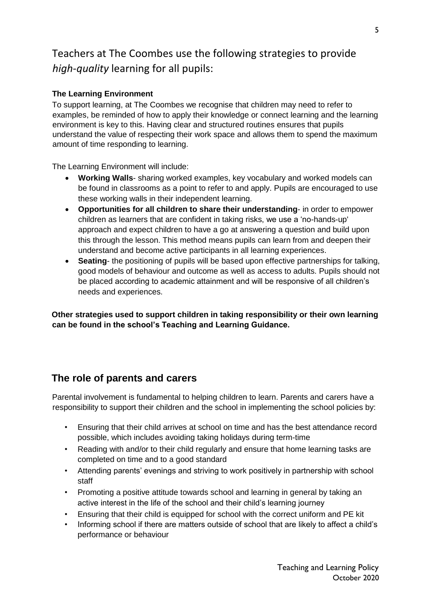# Teachers at The Coombes use the following strategies to provide *high-quality* learning for all pupils:

#### **The Learning Environment**

To support learning, at The Coombes we recognise that children may need to refer to examples, be reminded of how to apply their knowledge or connect learning and the learning environment is key to this. Having clear and structured routines ensures that pupils understand the value of respecting their work space and allows them to spend the maximum amount of time responding to learning.

The Learning Environment will include:

- **Working Walls** sharing worked examples, key vocabulary and worked models can be found in classrooms as a point to refer to and apply. Pupils are encouraged to use these working walls in their independent learning.
- **Opportunities for all children to share their understanding** in order to empower children as learners that are confident in taking risks, we use a 'no-hands-up' approach and expect children to have a go at answering a question and build upon this through the lesson. This method means pupils can learn from and deepen their understand and become active participants in all learning experiences.
- **Seating** the positioning of pupils will be based upon effective partnerships for talking, good models of behaviour and outcome as well as access to adults. Pupils should not be placed according to academic attainment and will be responsive of all children's needs and experiences.

**Other strategies used to support children in taking responsibility or their own learning can be found in the school's Teaching and Learning Guidance.** 

## **The role of parents and carers**

Parental involvement is fundamental to helping children to learn. Parents and carers have a responsibility to support their children and the school in implementing the school policies by:

- Ensuring that their child arrives at school on time and has the best attendance record possible, which includes avoiding taking holidays during term-time
- Reading with and/or to their child regularly and ensure that home learning tasks are completed on time and to a good standard
- Attending parents' evenings and striving to work positively in partnership with school staff
- Promoting a positive attitude towards school and learning in general by taking an active interest in the life of the school and their child's learning journey
- Ensuring that their child is equipped for school with the correct uniform and PE kit
- Informing school if there are matters outside of school that are likely to affect a child's performance or behaviour